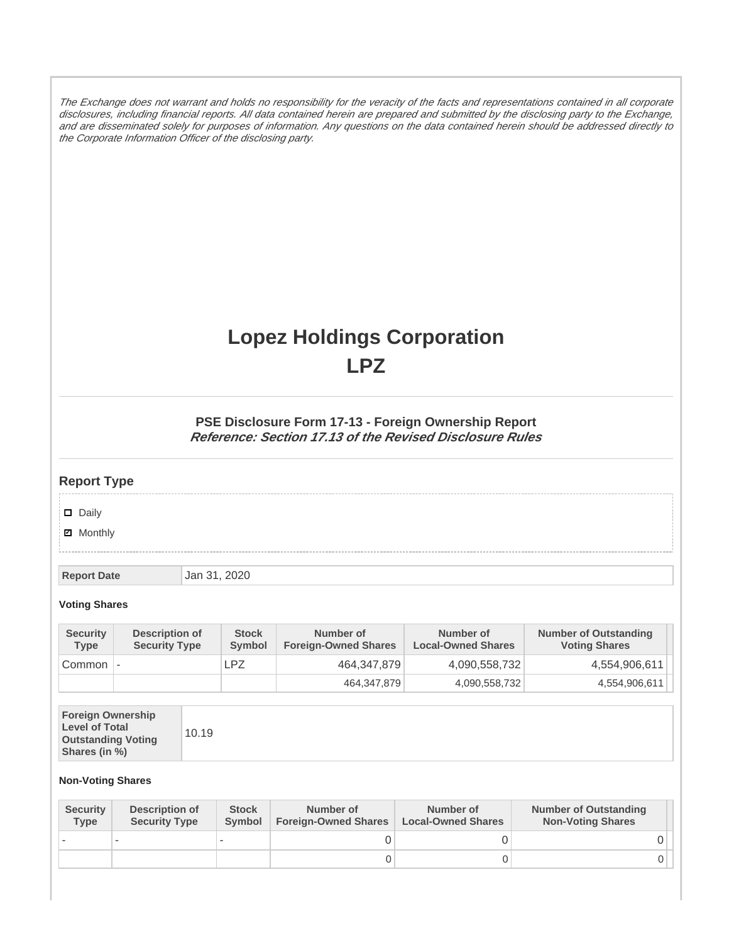The Exchange does not warrant and holds no responsibility for the veracity of the facts and representations contained in all corporate disclosures, including financial reports. All data contained herein are prepared and submitted by the disclosing party to the Exchange, and are disseminated solely for purposes of information. Any questions on the data contained herein should be addressed directly to the Corporate Information Officer of the disclosing party.

# **Lopez Holdings Corporation LPZ**

### **PSE Disclosure Form 17-13 - Foreign Ownership Report Reference: Section 17.13 of the Revised Disclosure Rules**

## **Report Type**

Daily

**Ø** Monthly

**Report Date Jan 31, 2020** 

#### **Voting Shares**

| <b>Security</b><br><b>Type</b> | Description of<br><b>Security Type</b> | <b>Stock</b><br>Symbol | Number of<br><b>Foreign-Owned Shares</b> | Number of<br><b>Local-Owned Shares</b> | <b>Number of Outstanding</b><br><b>Voting Shares</b> |
|--------------------------------|----------------------------------------|------------------------|------------------------------------------|----------------------------------------|------------------------------------------------------|
| Common                         | $\overline{\phantom{a}}$               | LPZ                    | 464,347,879                              | 4,090,558,732                          | 4,554,906,611                                        |
|                                |                                        |                        | 464,347,879                              | 4,090,558,732                          | 4,554,906,611                                        |

|  | 10.19 | <b>Foreign Ownership</b><br><b>Level of Total</b><br><b>Outstanding Voting</b><br>Shares (in %) |
|--|-------|-------------------------------------------------------------------------------------------------|
|--|-------|-------------------------------------------------------------------------------------------------|

#### **Non-Voting Shares**

| <b>Security</b><br><b>Type</b> | <b>Description of</b><br><b>Security Type</b> | <b>Stock</b><br>Symbol | Number of<br><b>Foreign-Owned Shares</b> | Number of<br><b>Local-Owned Shares</b> | <b>Number of Outstanding</b><br><b>Non-Voting Shares</b> |
|--------------------------------|-----------------------------------------------|------------------------|------------------------------------------|----------------------------------------|----------------------------------------------------------|
|                                |                                               |                        |                                          |                                        |                                                          |
|                                |                                               |                        |                                          |                                        |                                                          |